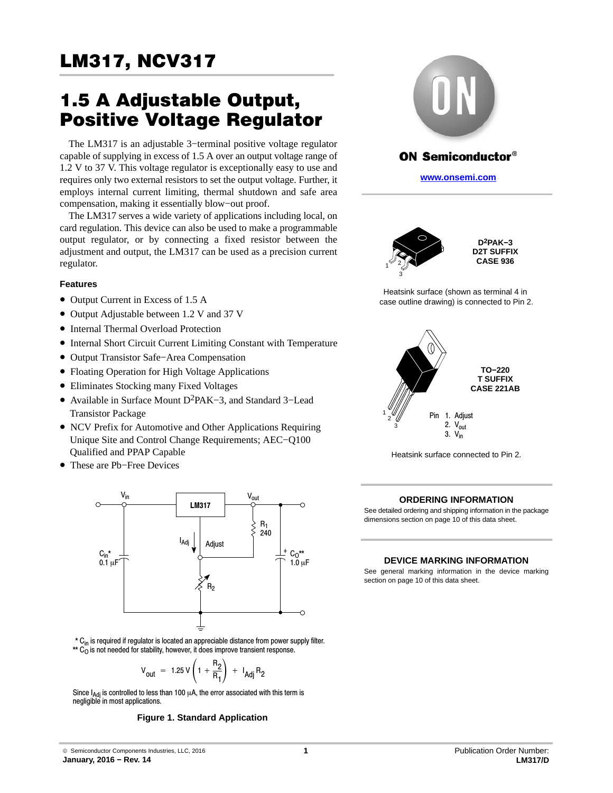# 1.5 A Adjustable Output, Positive Voltage Regulator

The LM317 is an adjustable 3−terminal positive voltage regulator capable of supplying in excess of 1.5 A over an output voltage range of 1.2 V to 37 V. This voltage regulator is exceptionally easy to use and requires only two external resistors to set the output voltage. Further, it employs internal current limiting, thermal shutdown and safe area compensation, making it essentially blow−out proof.

The LM317 serves a wide variety of applications including local, on card regulation. This device can also be used to make a programmable output regulator, or by connecting a fixed resistor between the adjustment and output, the LM317 can be used as a precision current regulator.

## **Features**

- Output Current in Excess of 1.5 A
- Output Adjustable between 1.2 V and 37 V
- Internal Thermal Overload Protection
- Internal Short Circuit Current Limiting Constant with Temperature
- Output Transistor Safe−Area Compensation
- Floating Operation for High Voltage Applications
- Eliminates Stocking many Fixed Voltages
- Available in Surface Mount D2PAK−3, and Standard 3−Lead Transistor Package
- NCV Prefix for Automotive and Other Applications Requiring Unique Site and Control Change Requirements; AEC−Q100 Qualified and PPAP Capable
- These are Pb−Free Devices



\* C<sub>in</sub> is required if regulator is located an appreciable distance from power supply filter.  $^{\star\star}$  C<sub>O</sub> is not needed for stability, however, it does improve transient response.

$$
V_{\text{out}} = 1.25 V \left( 1 + \frac{R_2}{R_1} \right) + I_{\text{Adj}} R_2
$$

Since  $I_{\text{Adj}}$  is controlled to less than 100  $\mu$ A, the error associated with this term is negligible in most applications.

#### **Figure 1. Standard Application**



# **ON Semiconductor®**

**[www.onsemi.com]( http://www.onsemi.com/)**





Heatsink surface (shown as terminal 4 in case outline drawing) is connected to Pin 2.



Heatsink surface connected to Pin 2.

#### **ORDERING INFORMATION**

See detailed ordering and shipping information in the package dimensions section on page [10](#page-9-0) of this data sheet.

#### **DEVICE MARKING INFORMATION**

See general marking information in the device marking section on page [10](#page-9-0) of this data sheet.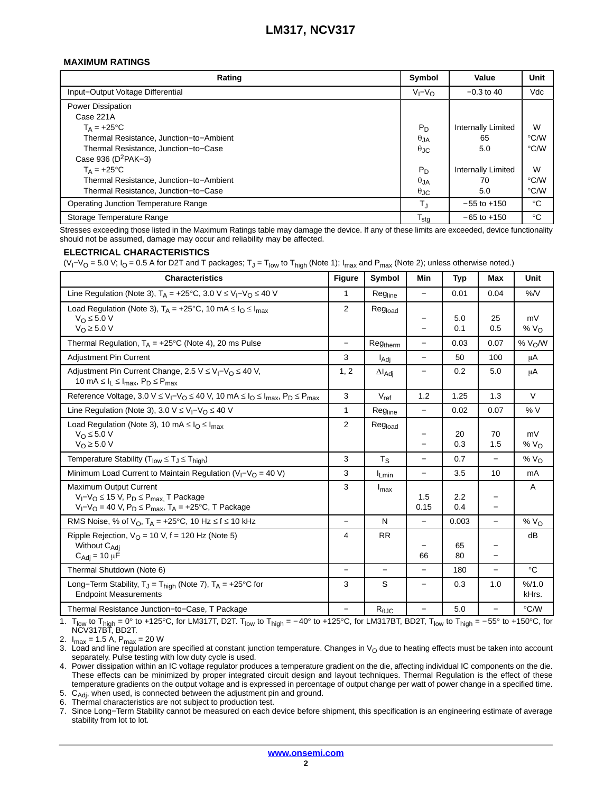### **MAXIMUM RATINGS**

| Rating                                      | Symbol           | Value                     | Unit          |
|---------------------------------------------|------------------|---------------------------|---------------|
| Input-Output Voltage Differential           | $V_I - V_O$      | $-0.3$ to 40              | Vdc           |
| <b>Power Dissipation</b>                    |                  |                           |               |
| Case 221A                                   |                  |                           |               |
| $T_A = +25$ °C                              | $P_D$            | <b>Internally Limited</b> | W             |
| Thermal Resistance, Junction-to-Ambient     | $\theta_{JA}$    | 65                        | $\degree$ C/W |
| Thermal Resistance, Junction-to-Case        | $\theta$ JC      | 5.0                       | $\degree$ C/W |
| Case 936 ( $D^2PAK-3$ )                     |                  |                           |               |
| $T_A = +25^{\circ}C$                        | $P_D$            | <b>Internally Limited</b> | W             |
| Thermal Resistance, Junction-to-Ambient     | $\theta_{JA}$    | 70                        | $\degree$ C/W |
| Thermal Resistance, Junction-to-Case        | $\theta$ JC      | 5.0                       | $\degree$ C/W |
| <b>Operating Junction Temperature Range</b> | $T_{\rm J}$      | $-55$ to $+150$           | $^{\circ}C$   |
| Storage Temperature Range                   | $T_{\text{stg}}$ | $-65$ to $+150$           | $^{\circ}C$   |

Stresses exceeding those listed in the Maximum Ratings table may damage the device. If any of these limits are exceeded, device functionality should not be assumed, damage may occur and reliability may be affected.

#### **ELECTRICAL CHARACTERISTICS**

(V<sub>I</sub>−V<sub>O</sub> = 5.0 V; I<sub>O</sub> = 0.5 A for D2T and T packages; T<sub>J</sub> = T<sub>low</sub> to T<sub>high</sub> (Note 1); I<sub>max</sub> and P<sub>max</sub> (Note 2); unless otherwise noted.)

| <b>Characteristics</b>                                                                                                                                                   | <b>Figure</b>            | Symbol                  | <b>Min</b>                                    | <b>Typ</b> | <b>Max</b>               | Unit             |
|--------------------------------------------------------------------------------------------------------------------------------------------------------------------------|--------------------------|-------------------------|-----------------------------------------------|------------|--------------------------|------------------|
| Line Regulation (Note 3), $T_A = +25^{\circ}C$ , 3.0 V $\leq V_I - V_O \leq 40$ V                                                                                        | 1                        | Regline                 | $\qquad \qquad -$                             | 0.01       | 0.04                     | $%$ /V           |
| Load Regulation (Note 3), $T_A = +25^{\circ}C$ , 10 mA $\leq I_O \leq I_{max}$<br>$V_{\Omega} \leq 5.0 V$<br>$V_{\text{O}} \geq 5.0 \text{ V}$                           | $\overline{2}$           | Regload                 | -                                             | 5.0<br>0.1 | 25<br>0.5                | mV<br>% $VO$     |
| Thermal Regulation, $T_A = +25^{\circ}C$ (Note 4), 20 ms Pulse                                                                                                           | $\equiv$                 | Regtherm                | $\overline{\phantom{0}}$                      | 0.03       | 0.07                     | % $V_0/W$        |
| Adjustment Pin Current                                                                                                                                                   | 3                        | I <sub>Adi</sub>        | $\overline{\phantom{0}}$                      | 50         | 100                      | μA               |
| Adjustment Pin Current Change, 2.5 $V \leq V_I - V_O \leq 40 V$ ,<br>10 mA $\leq$ $I_L \leq$ $I_{max}$ , $P_D \leq$ $P_{max}$                                            | 1, 2                     | $\Delta I_{\text{Adj}}$ |                                               | 0.2        | 5.0                      | μA               |
| Reference Voltage, 3.0 V $\leq$ V <sub>I</sub> -V <sub>O</sub> $\leq$ 40 V, 10 mA $\leq$ I <sub>O</sub> $\leq$ I <sub>max</sub> , P <sub>D</sub> $\leq$ P <sub>max</sub> | 3                        | $V_{ref}$               | 1.2                                           | 1.25       | 1.3                      | $\vee$           |
| Line Regulation (Note 3), 3.0 $V \leq V_1 - V_0 \leq 40$ V                                                                                                               | 1                        | Regline                 | $\equiv$                                      | 0.02       | 0.07                     | %V               |
| Load Regulation (Note 3), 10 mA $\leq$ $I_{O} \leq I_{max}$<br>$V_{\Omega} \leq 5.0 V$<br>$V_O \geq 5.0 V$                                                               | 2                        | Regload                 | $\qquad \qquad -$<br>$\overline{\phantom{0}}$ | 20<br>0.3  | 70<br>1.5                | mV<br>% $VO$     |
| Temperature Stability ( $T_{low} \leq T_J \leq T_{high}$ )                                                                                                               | 3                        | $T_S$                   | $\qquad \qquad -$                             | 0.7        | $\overline{\phantom{0}}$ | % $VO$           |
| Minimum Load Current to Maintain Regulation ( $V_1 - V_0 = 40 V$ )                                                                                                       | 3                        | $I_{Lmin}$              | $\qquad \qquad -$                             | 3.5        | 10                       | mA               |
| <b>Maximum Output Current</b><br>$V_I - V_O \le 15$ V, $P_D \le P_{max}$ T Package<br>$V_I - V_O = 40 V$ , $P_D \le P_{max}$ , $T_A = +25$ °C, T Package                 | 3                        | $I_{\text{max}}$        | 1.5<br>0.15                                   | 2.2<br>0.4 |                          | A                |
| RMS Noise, % of $V_O$ , $T_A = +25$ °C, 10 Hz $\leq f \leq 10$ kHz                                                                                                       | $\overline{\phantom{0}}$ | N                       | $\equiv$                                      | 0.003      | $\equiv$                 | % $VO$           |
| Ripple Rejection, $V_O$ = 10 V, f = 120 Hz (Note 5)<br>Without C <sub>Adi</sub><br>$C_{\text{Adj}} = 10 \mu \dot{F}$                                                     | 4                        | <b>RR</b>               | 66                                            | 65<br>80   |                          | dB               |
| Thermal Shutdown (Note 6)                                                                                                                                                | $\overline{\phantom{0}}$ |                         |                                               | 180        | $\overline{\phantom{0}}$ | $^{\circ}C$      |
| Long-Term Stability, $T_J = T_{\text{high}}$ (Note 7), $T_A = +25^{\circ}C$ for<br><b>Endpoint Measurements</b>                                                          | 3                        | S                       | $\overline{\phantom{0}}$                      | 0.3        | 1.0                      | % / 1.0<br>kHrs. |
| Thermal Resistance Junction-to-Case, T Package                                                                                                                           | $\overline{\phantom{0}}$ | $R_{\theta$ JC          | $\qquad \qquad -$                             | 5.0        | $\qquad \qquad -$        | $\degree$ C/W    |

1. T<sub>low</sub> to T<sub>high</sub> = 0° to +125°C, for LM317T, D2T. T<sub>low</sub> to T<sub>high</sub> = −40° to +125°C, for LM317BT, BD2T, T<sub>low</sub> to T<sub>high</sub> = −55° to +150°C, for<br>NCV317BT, BD2T.

2.  $I_{max} = 1.5$  A,  $P_{max} = 20$  W

3. Load and line regulation are specified at constant junction temperature. Changes in V<sub>O</sub> due to heating effects must be taken into account separately. Pulse testing with low duty cycle is used.

4. Power dissipation within an IC voltage regulator produces a temperature gradient on the die, affecting individual IC components on the die. These effects can be minimized by proper integrated circuit design and layout techniques. Thermal Regulation is the effect of these temperature gradients on the output voltage and is expressed in percentage of output change per watt of power change in a specified time.

5.  $C_{Adj}$ , when used, is connected between the adjustment pin and ground.<br>6. Thermal characteristics are not subject to production test.

Thermal characteristics are not subject to production test.

7. Since Long−Term Stability cannot be measured on each device before shipment, this specification is an engineering estimate of average stability from lot to lot.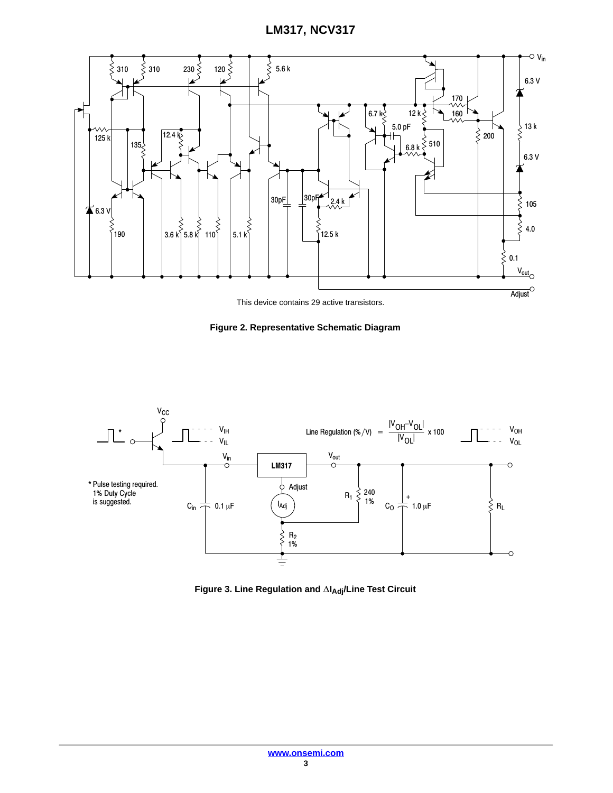

This device contains 29 active transistors.





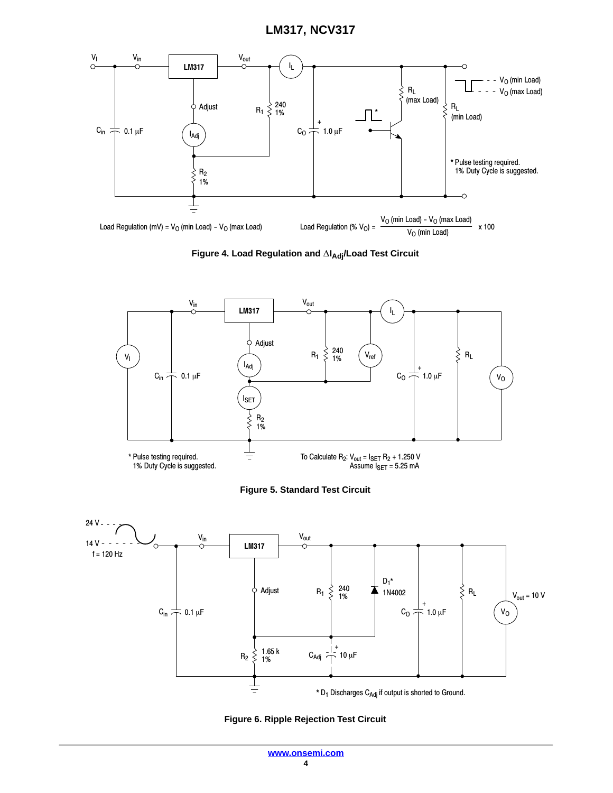

Figure 4. Load Regulation and  $\Delta I_{\text{Adj}}$ /Load Test Circuit







**Figure 6. Ripple Rejection Test Circuit**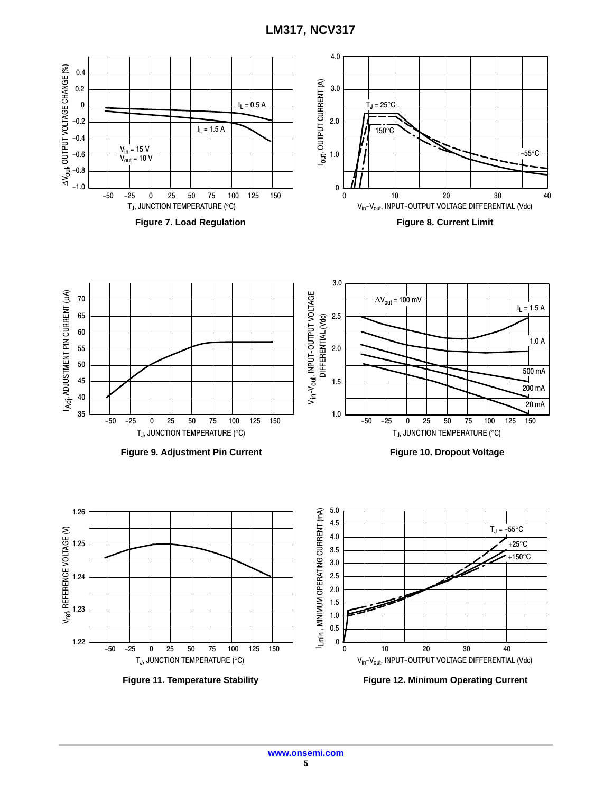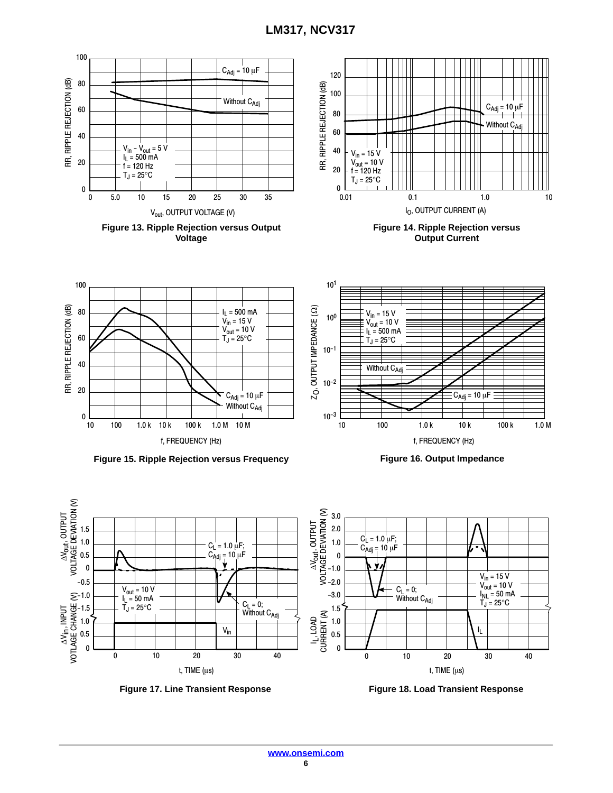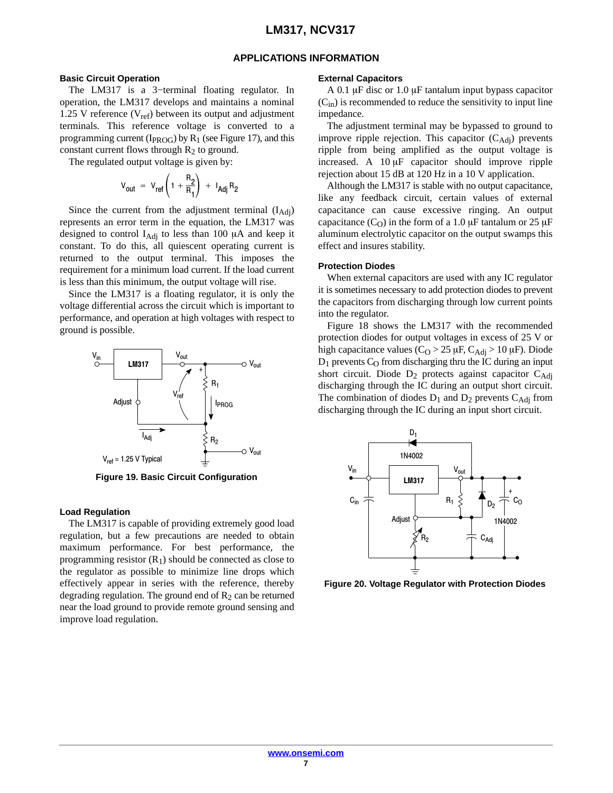## **APPLICATIONS INFORMATION**

#### **Basic Circuit Operation**

The LM317 is a 3−terminal floating regulator. In operation, the LM317 develops and maintains a nominal 1.25 V reference ( $V_{ref}$ ) between its output and adjustment terminals. This reference voltage is converted to a programming current ( $I_{PROG}$ ) by  $R_1$  (see Figure 17), and this constant current flows through  $R_2$  to ground.

The regulated output voltage is given by:

$$
V_{\text{out}} = V_{\text{ref}} \left( 1 + \frac{R_2}{R_1} \right) + I_{\text{Adj}} R_2
$$

Since the current from the adjustment terminal  $(I<sub>Adj</sub>)$ represents an error term in the equation, the LM317 was designed to control  $I_{\text{Adj}}$  to less than 100  $\mu$ A and keep it constant. To do this, all quiescent operating current is returned to the output terminal. This imposes the requirement for a minimum load current. If the load current is less than this minimum, the output voltage will rise.

Since the LM317 is a floating regulator, it is only the voltage differential across the circuit which is important to performance, and operation at high voltages with respect to ground is possible.



**Figure 19. Basic Circuit Configuration**

#### **Load Regulation**

The LM317 is capable of providing extremely good load regulation, but a few precautions are needed to obtain maximum performance. For best performance, the programming resistor  $(R_1)$  should be connected as close to the regulator as possible to minimize line drops which effectively appear in series with the reference, thereby degrading regulation. The ground end of  $R_2$  can be returned near the load ground to provide remote ground sensing and improve load regulation.

#### **External Capacitors**

A 0.1  $\mu$ F disc or 1.0  $\mu$ F tantalum input bypass capacitor  $(C_{in})$  is recommended to reduce the sensitivity to input line impedance.

The adjustment terminal may be bypassed to ground to improve ripple rejection. This capacitor  $(C_{\text{Adj}})$  prevents ripple from being amplified as the output voltage is increased. A  $10 \mu$ F capacitor should improve ripple rejection about 15 dB at 120 Hz in a 10 V application.

Although the LM317 is stable with no output capacitance, like any feedback circuit, certain values of external capacitance can cause excessive ringing. An output capacitance (C<sub>O</sub>) in the form of a 1.0  $\mu$ F tantalum or 25  $\mu$ F aluminum electrolytic capacitor on the output swamps this effect and insures stability.

#### **Protection Diodes**

When external capacitors are used with any IC regulator it is sometimes necessary to add protection diodes to prevent the capacitors from discharging through low current points into the regulator.

Figure 18 shows the LM317 with the recommended protection diodes for output voltages in excess of 25 V or high capacitance values ( $C_O > 25 \mu$ F,  $C_{\text{Adj}} > 10 \mu$ F). Diode  $D_1$  prevents  $C_0$  from discharging thru the IC during an input short circuit. Diode  $D_2$  protects against capacitor  $C_{\text{Adj}}$ discharging through the IC during an output short circuit. The combination of diodes  $D_1$  and  $D_2$  prevents  $C_{\text{Adj}}$  from discharging through the IC during an input short circuit.



**Figure 20. Voltage Regulator with Protection Diodes**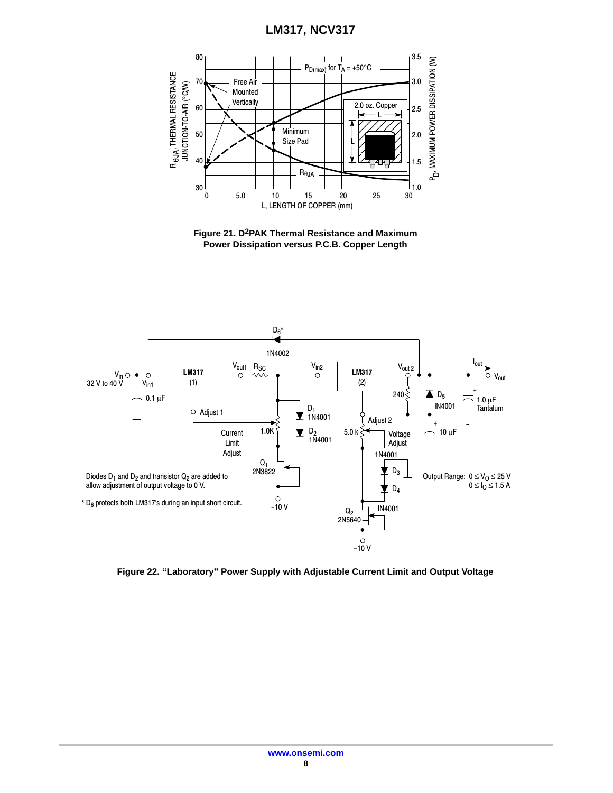

**Figure 21. D2PAK Thermal Resistance and Maximum Power Dissipation versus P.C.B. Copper Length**



**Figure 22. ''Laboratory'' Power Supply with Adjustable Current Limit and Output Voltage**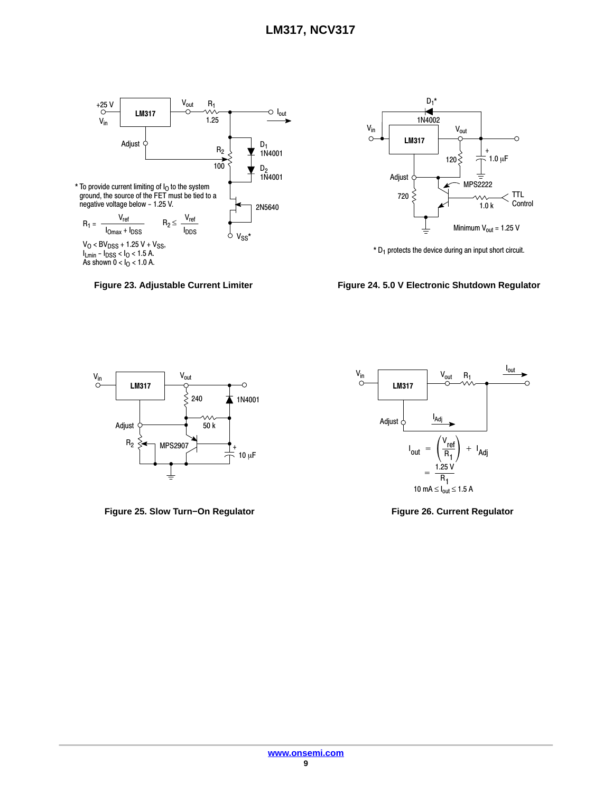



 $*$  D<sub>1</sub> protects the device during an input short circuit.

Figure 23. Adjustable Current Limiter **Figure 24. 5.0 V Electronic Shutdown Regulator** 



**Figure 25. Slow Turn−On Regulator Figure 26. Current Regulator**

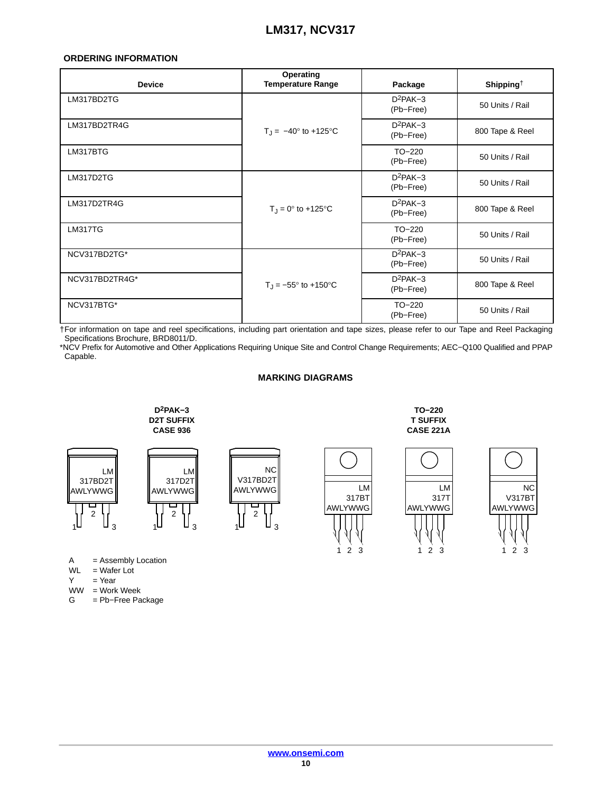## <span id="page-9-0"></span>**ORDERING INFORMATION**

| <b>Device</b>  | Operating<br><b>Temperature Range</b> | Package                 | Shipping $\dagger$ |  |
|----------------|---------------------------------------|-------------------------|--------------------|--|
| LM317BD2TG     | $D^2PAK-3$<br>(Pb-Free)               |                         | 50 Units / Rail    |  |
| LM317BD2TR4G   | $T_1 = -40^{\circ}$ to +125°C         | $D^2PAK-3$<br>(Pb-Free) | 800 Tape & Reel    |  |
| LM317BTG       |                                       | $TO-220$<br>(Pb-Free)   | 50 Units / Rail    |  |
| LM317D2TG      |                                       | $D^2PAK-3$<br>(Pb-Free) | 50 Units / Rail    |  |
| LM317D2TR4G    | $T_{\rm J} = 0^{\circ}$ to +125 °C    | $D^2PAK-3$<br>(Pb-Free) | 800 Tape & Reel    |  |
| <b>LM317TG</b> |                                       | $TO-220$<br>(Pb-Free)   | 50 Units / Rail    |  |
| NCV317BD2TG*   |                                       | $D^2PAK-3$<br>(Pb-Free) | 50 Units / Rail    |  |
| NCV317BD2TR4G* | $T_{\rm J} = -55^{\circ}$ to +150°C   | $D^2PAK-3$<br>(Pb-Free) | 800 Tape & Reel    |  |
| NCV317BTG*     |                                       | $TO-220$<br>(Pb-Free)   | 50 Units / Rail    |  |

†For information on tape and reel specifications, including part orientation and tape sizes, please refer to our Tape and Reel Packaging Specifications Brochure, BRD8011/D.

\*NCV Prefix for Automotive and Other Applications Requiring Unique Site and Control Change Requirements; AEC−Q100 Qualified and PPAP Capable.

## **MARKING DIAGRAMS**



NC

- $WW = Work Week$ <br>G = Pb-Free Pa
- = Pb-Free Package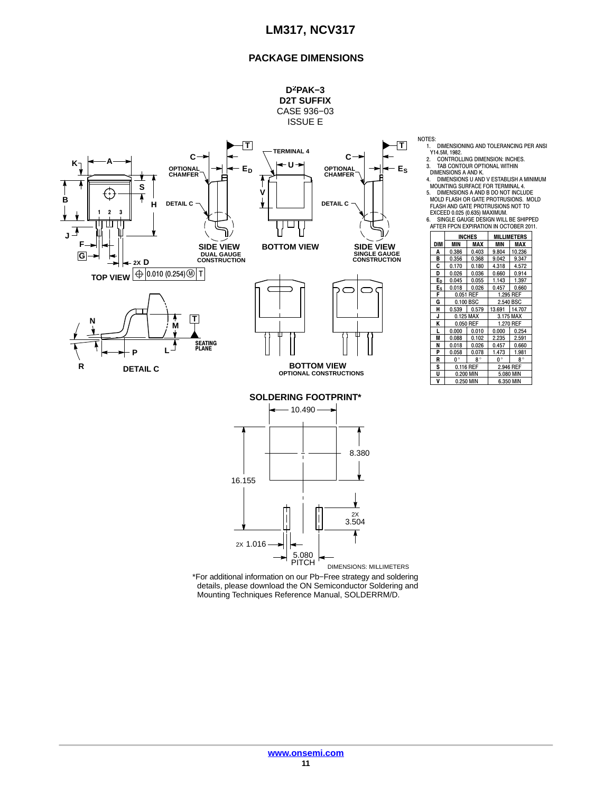## **PACKAGE DIMENSIONS**

**D2PAK−3**

**MILLIMETERS**

 $1.473$  1.981  $0^{\circ}$  8<sup>°</sup>



\*For additional information on our Pb−Free strategy and soldering details, please download the ON Semiconductor Soldering and Mounting Techniques Reference Manual, SOLDERRM/D.